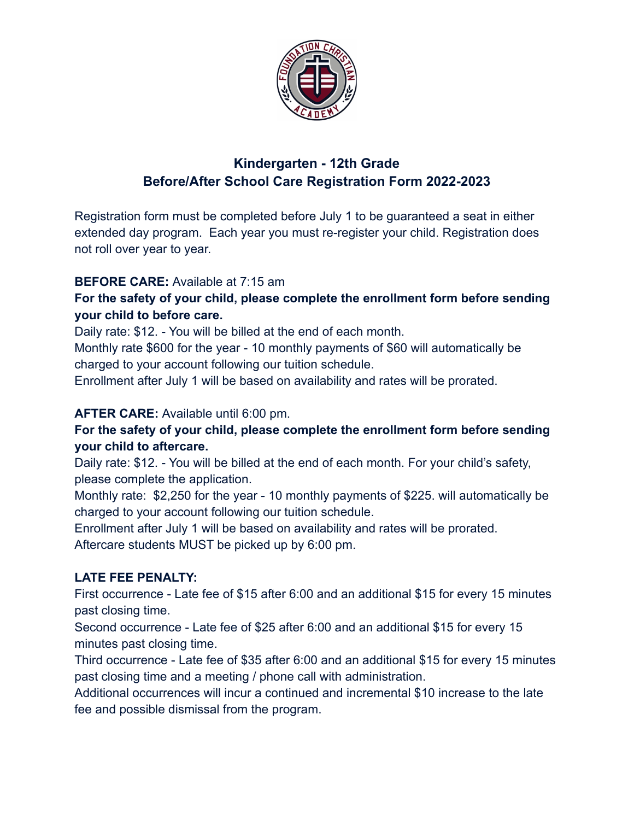

# **Kindergarten - 12th Grade Before/After School Care Registration Form 2022-2023**

Registration form must be completed before July 1 to be guaranteed a seat in either extended day program. Each year you must re-register your child. Registration does not roll over year to year.

### **BEFORE CARE:** Available at 7:15 am

### **For the safety of your child, please complete the enrollment form before sending your child to before care.**

Daily rate: \$12. - You will be billed at the end of each month.

Monthly rate \$600 for the year - 10 monthly payments of \$60 will automatically be charged to your account following our tuition schedule.

Enrollment after July 1 will be based on availability and rates will be prorated.

### **AFTER CARE:** Available until 6:00 pm.

### **For the safety of your child, please complete the enrollment form before sending your child to aftercare.**

Daily rate: \$12. - You will be billed at the end of each month. For your child's safety, please complete the application.

Monthly rate: \$2,250 for the year - 10 monthly payments of \$225. will automatically be charged to your account following our tuition schedule.

Enrollment after July 1 will be based on availability and rates will be prorated. Aftercare students MUST be picked up by 6:00 pm.

### **LATE FEE PENALTY:**

First occurrence - Late fee of \$15 after 6:00 and an additional \$15 for every 15 minutes past closing time.

Second occurrence - Late fee of \$25 after 6:00 and an additional \$15 for every 15 minutes past closing time.

Third occurrence - Late fee of \$35 after 6:00 and an additional \$15 for every 15 minutes past closing time and a meeting / phone call with administration.

Additional occurrences will incur a continued and incremental \$10 increase to the late fee and possible dismissal from the program.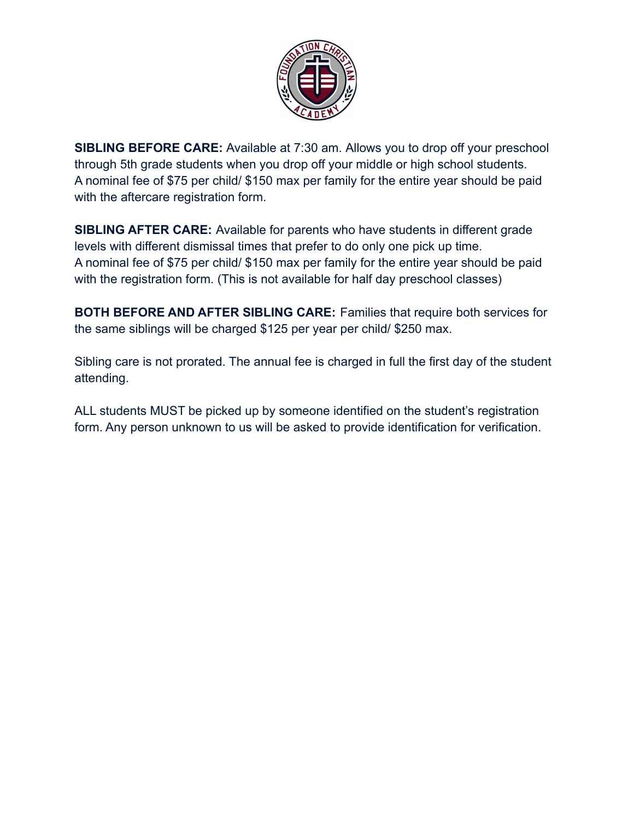

**SIBLING BEFORE CARE:** Available at 7:30 am. Allows you to drop off your preschool through 5th grade students when you drop off your middle or high school students. A nominal fee of \$75 per child/ \$150 max per family for the entire year should be paid with the aftercare registration form.

**SIBLING AFTER CARE:** Available for parents who have students in different grade levels with different dismissal times that prefer to do only one pick up time. A nominal fee of \$75 per child/ \$150 max per family for the entire year should be paid with the registration form. (This is not available for half day preschool classes)

**BOTH BEFORE AND AFTER SIBLING CARE:** Families that require both services for the same siblings will be charged \$125 per year per child/ \$250 max.

Sibling care is not prorated. The annual fee is charged in full the first day of the student attending.

ALL students MUST be picked up by someone identified on the student's registration form. Any person unknown to us will be asked to provide identification for verification.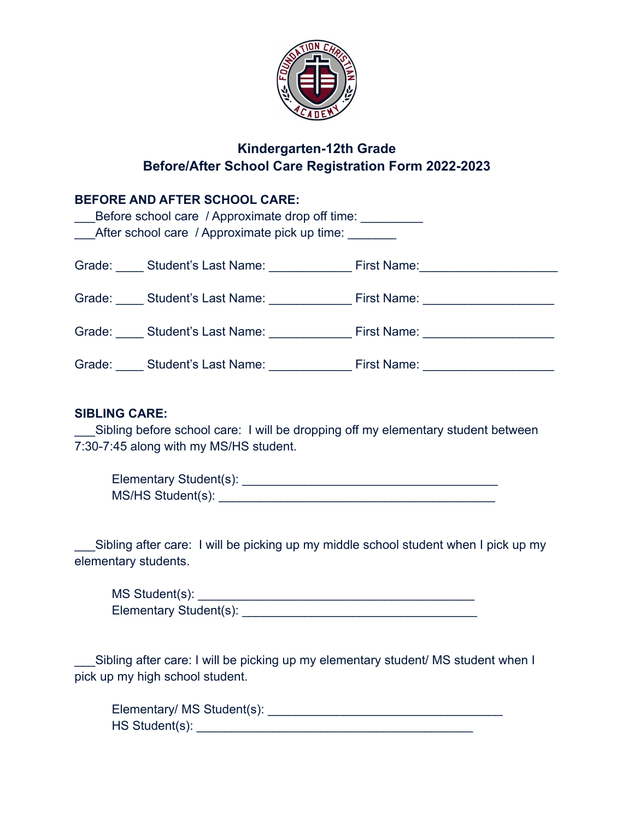

# **Kindergarten-12th Grade Before/After School Care Registration Form 2022-2023**

### **BEFORE AND AFTER SCHOOL CARE:**

| After school care / Approximate pick up time: |                                                              |  |  |  |  |
|-----------------------------------------------|--------------------------------------------------------------|--|--|--|--|
|                                               | Grade: Student's Last Name: First Name: First Name:          |  |  |  |  |
|                                               |                                                              |  |  |  |  |
|                                               |                                                              |  |  |  |  |
|                                               | Grade: Student's Last Name: First Name: Student's Last Name: |  |  |  |  |

#### **SIBLING CARE:**

Sibling before school care: I will be dropping off my elementary student between 7:30-7:45 along with my MS/HS student.

| Elementary Student(s): |  |
|------------------------|--|
| MS/HS Student(s):      |  |

Sibling after care: I will be picking up my middle school student when I pick up my elementary students.

| MS Student(s):         |  |
|------------------------|--|
| Elementary Student(s): |  |

\_\_\_Sibling after care: I will be picking up my elementary student/ MS student when I pick up my high school student.

Elementary/ MS Student(s): \_\_\_\_\_\_\_\_\_\_\_\_\_\_\_\_\_\_\_\_\_\_\_\_\_\_\_\_\_\_\_\_\_\_ HS Student(s): \_\_\_\_\_\_\_\_\_\_\_\_\_\_\_\_\_\_\_\_\_\_\_\_\_\_\_\_\_\_\_\_\_\_\_\_\_\_\_\_